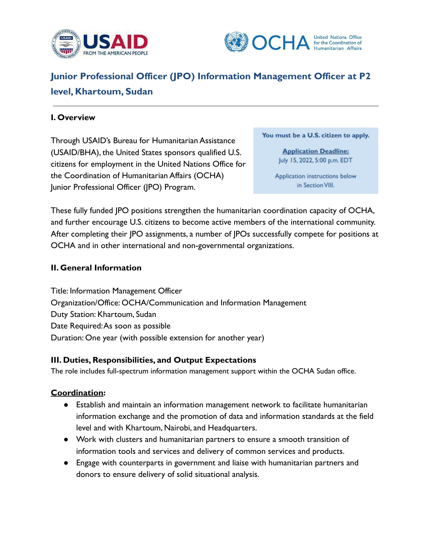



# **Junior Professional Officer (JPO) Information Management Officer at P2 level, Khartoum, Sudan**

## **I. Overview**

Through USAID's Bureau for Humanitarian Assistance (USAID/BHA), the United States sponsors qualified U.S. citizens for employment in the United Nations Office for the Coordination of Humanitarian Affairs (OCHA) Junior Professional Officer (JPO) Program.

You must be a U.S. citizen to apply.

**Application Deadline:** July 15, 2022, 5:00 p.m. EDT

Application instructions below in Section VIII.

These fully funded JPO positions strengthen the humanitarian coordination capacity of OCHA, and further encourage U.S. citizens to become active members of the international community. After completing their JPO assignments, a number of JPOs successfully compete for positions at OCHA and in other international and non-governmental organizations.

## **II. General Information**

Title: Information Management Officer Organization/Office: OCHA/Communication and Information Management Duty Station: Khartoum, Sudan Date Required:As soon as possible Duration: One year (with possible extension for another year)

#### **III. Duties, Responsibilities, and Output Expectations**

The role includes full-spectrum information management support within the OCHA Sudan office.

# **Coordination:**

- Establish and maintain an information management network to facilitate humanitarian information exchange and the promotion of data and information standards at the field level and with Khartoum, Nairobi, and Headquarters.
- Work with clusters and humanitarian partners to ensure a smooth transition of information tools and services and delivery of common services and products.
- Engage with counterparts in government and liaise with humanitarian partners and donors to ensure delivery of solid situational analysis.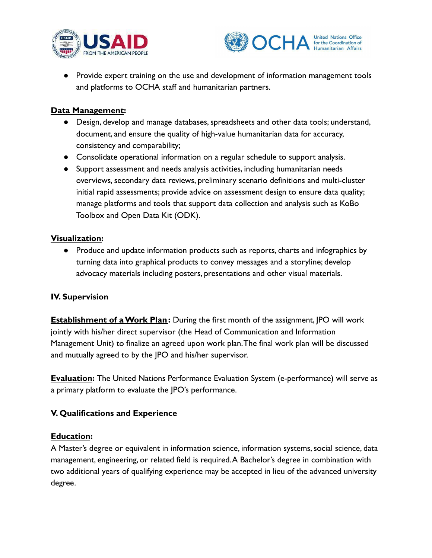



● Provide expert training on the use and development of information management tools and platforms to OCHA staff and humanitarian partners.

## **Data Management:**

- Design, develop and manage databases, spreadsheets and other data tools; understand, document, and ensure the quality of high-value humanitarian data for accuracy, consistency and comparability;
- Consolidate operational information on a regular schedule to support analysis.
- Support assessment and needs analysis activities, including humanitarian needs overviews, secondary data reviews, preliminary scenario definitions and multi-cluster initial rapid assessments; provide advice on assessment design to ensure data quality; manage platforms and tools that support data collection and analysis such as KoBo Toolbox and Open Data Kit (ODK).

#### **Visualization:**

● Produce and update information products such as reports, charts and infographics by turning data into graphical products to convey messages and a storyline; develop advocacy materials including posters, presentations and other visual materials.

#### **IV. Supervision**

**Establishment of a Work Plan:** During the first month of the assignment, JPO will work jointly with his/her direct supervisor (the Head of Communication and Information Management Unit) to finalize an agreed upon work plan.The final work plan will be discussed and mutually agreed to by the JPO and his/her supervisor.

**Evaluation:** The United Nations Performance Evaluation System (e-performance) will serve as a primary platform to evaluate the JPO's performance.

# **V. Qualifications and Experience**

#### **Education:**

A Master's degree or equivalent in information science, information systems, social science, data management, engineering, or related field is required.A Bachelor's degree in combination with two additional years of qualifying experience may be accepted in lieu of the advanced university degree.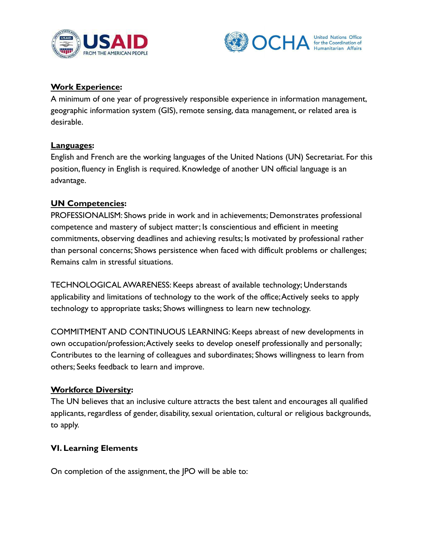



# **Work Experience:**

A minimum of one year of progressively responsible experience in information management, geographic information system (GIS), remote sensing, data management, or related area is desirable.

## **Languages:**

English and French are the working languages of the United Nations (UN) Secretariat. For this position, fluency in English is required. Knowledge of another UN official language is an advantage.

# **UN Competencies:**

PROFESSIONALISM: Shows pride in work and in achievements; Demonstrates professional competence and mastery of subject matter; Is conscientious and efficient in meeting commitments, observing deadlines and achieving results; Is motivated by professional rather than personal concerns; Shows persistence when faced with difficult problems or challenges; Remains calm in stressful situations.

TECHNOLOGICAL AWARENESS: Keeps abreast of available technology; Understands applicability and limitations of technology to the work of the office;Actively seeks to apply technology to appropriate tasks; Shows willingness to learn new technology.

COMMITMENT AND CONTINUOUS LEARNING: Keeps abreast of new developments in own occupation/profession;Actively seeks to develop oneself professionally and personally; Contributes to the learning of colleagues and subordinates; Shows willingness to learn from others; Seeks feedback to learn and improve.

# **Workforce Diversity:**

The UN believes that an inclusive culture attracts the best talent and encourages all qualified applicants, regardless of gender, disability, sexual orientation, cultural or religious backgrounds, to apply.

# **VI. Learning Elements**

On completion of the assignment, the JPO will be able to: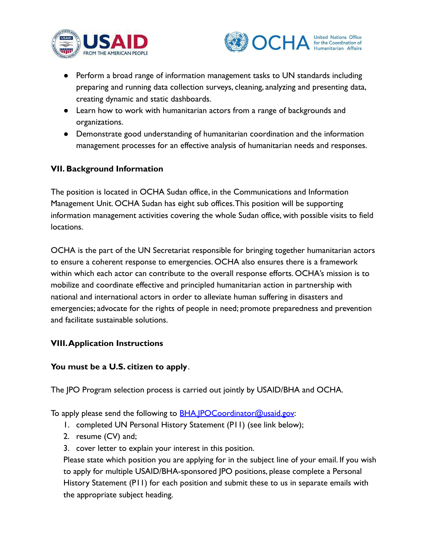



- Perform a broad range of information management tasks to UN standards including preparing and running data collection surveys, cleaning, analyzing and presenting data, creating dynamic and static dashboards.
- Learn how to work with humanitarian actors from a range of backgrounds and organizations.
- Demonstrate good understanding of humanitarian coordination and the information management processes for an effective analysis of humanitarian needs and responses.

# **VII. Background Information**

The position is located in OCHA Sudan office, in the Communications and Information Management Unit. OCHA Sudan has eight sub offices.This position will be supporting information management activities covering the whole Sudan office, with possible visits to field locations.

OCHA is the part of the UN Secretariat responsible for bringing together humanitarian actors to ensure a coherent response to emergencies. OCHA also ensures there is a framework within which each actor can contribute to the overall response efforts. OCHA's mission is to mobilize and coordinate effective and principled humanitarian action in partnership with national and international actors in order to alleviate human suffering in disasters and emergencies; advocate for the rights of people in need; promote preparedness and prevention and facilitate sustainable solutions.

# **VIII.Application Instructions**

# **You must be a U.S. citizen to apply**.

The JPO Program selection process is carried out jointly by USAID/BHA and OCHA.

To apply please send the following to **[BHA.JPOCoordinator@usaid.gov](mailto:BHA.JPOCoordinator@usaid.gov):** 

- 1. completed UN Personal History Statement (P11) (see link below);
- 2. resume (CV) and;
- 3. cover letter to explain your interest in this position.

Please state which position you are applying for in the subject line of your email. If you wish to apply for multiple USAID/BHA-sponsored JPO positions, please complete a Personal History Statement (P11) for each position and submit these to us in separate emails with the appropriate subject heading.